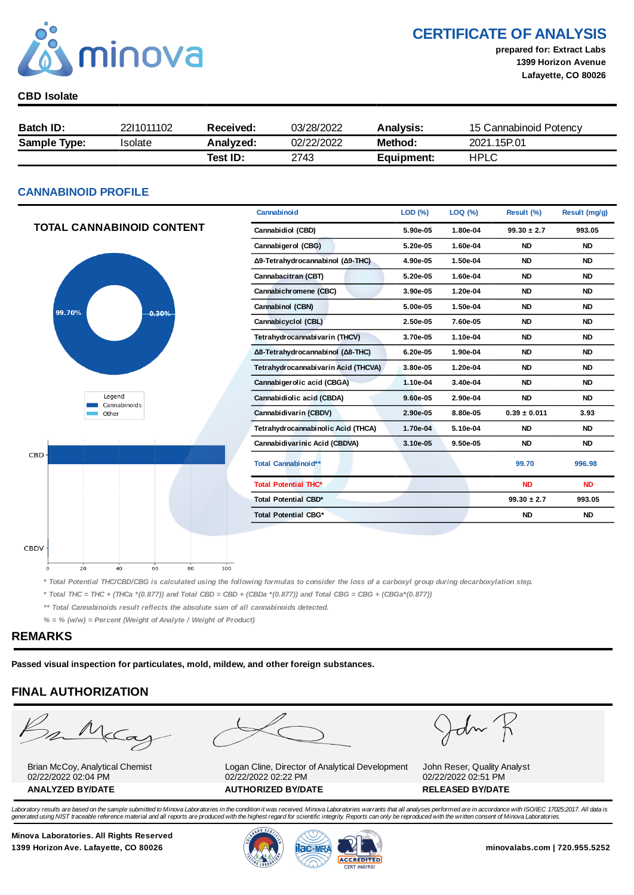

CERTIFICATE OF ANALYSIS

prepared for: Extract Labs 1399 Horizon Avenue Lafayette, CO 80026

#### CBD Isolate

| <b>Batch ID:</b>    | 2211011102 | Received: | 03/28/2022 | <b>Analysis:</b> | 15 Cannabinoid Potency |
|---------------------|------------|-----------|------------|------------------|------------------------|
| <b>Sample Type:</b> | Isolate    | Analyzed: | 02/22/2022 | Method:          | 2021 15P 01            |
|                     |            | Test ID:  | 2743       | Equipment:       | <b>HPLC</b>            |

#### CANNABINOID PROFILE

|                                  | Cannabinoid                         | LOD(%)   | LOQ (%)  | Result (%)       | Result (mg/g) |
|----------------------------------|-------------------------------------|----------|----------|------------------|---------------|
| <b>TOTAL CANNABINOID CONTENT</b> | Cannabidiol (CBD)                   | 5.90e-05 | 1.80e-04 | $99.30 \pm 2.7$  | 993.05        |
|                                  | Cannabigerol (CBG)                  | 5.20e-05 | 1.60e-04 | <b>ND</b>        | <b>ND</b>     |
|                                  | Δ9-Tetrahydrocannabinol (Δ9-THC)    | 4.90e-05 | 1.50e-04 | <b>ND</b>        | <b>ND</b>     |
|                                  | Cannabacitran (CBT)                 | 5.20e-05 | 1.60e-04 | <b>ND</b>        | <b>ND</b>     |
|                                  | Cannabichromene (CBC)               | 3.90e-05 | 1.20e-04 | <b>ND</b>        | <b>ND</b>     |
| 99.70%<br>0.30%                  | Cannabinol (CBN)                    | 5.00e-05 | 1.50e-04 | <b>ND</b>        | <b>ND</b>     |
|                                  | Cannabicyclol (CBL)                 | 2.50e-05 | 7.60e-05 | <b>ND</b>        | <b>ND</b>     |
|                                  | Tetrahydrocannabivarin (THCV)       | 3.70e-05 | 1.10e-04 | <b>ND</b>        | <b>ND</b>     |
|                                  | Δ8-Tetrahydrocannabinol (Δ8-THC)    | 6.20e-05 | 1.90e-04 | <b>ND</b>        | <b>ND</b>     |
|                                  | Tetrahydrocannabivarin Acid (THCVA) | 3.80e-05 | 1.20e-04 | <b>ND</b>        | <b>ND</b>     |
|                                  | Cannabigerolic acid (CBGA)          | 1.10e-04 | 3.40e-04 | <b>ND</b>        | <b>ND</b>     |
| Legend<br>Cannabinoids           | Cannabidiolic acid (CBDA)           | 9.60e-05 | 2.90e-04 | <b>ND</b>        | <b>ND</b>     |
| Other                            | Cannabidivarin (CBDV)               | 2.90e-05 | 8.80e-05 | $0.39 \pm 0.011$ | 3.93          |
|                                  | Tetrahydrocannabinolic Acid (THCA)  | 1.70e-04 | 5.10e-04 | <b>ND</b>        | <b>ND</b>     |
|                                  | Cannabidivarinic Acid (CBDVA)       | 3.10e-05 | 9.50e-05 | <b>ND</b>        | <b>ND</b>     |
| CBD-                             | Total Cannabinoid**                 |          |          | 99.70            | 996.98        |
|                                  | <b>Total Potential THC*</b>         |          |          | <b>ND</b>        | <b>ND</b>     |
|                                  | <b>Total Potential CBD*</b>         |          |          | $99.30 \pm 2.7$  | 993.05        |
|                                  | <b>Total Potential CBG*</b>         |          |          | <b>ND</b>        | <b>ND</b>     |

\* Total Potential THC/CBD/CBG is calculated using the following formulas to consider the loss of a carboxyl group during decarboxylation step.

\* Total THC = THC + (THCa \*(0.877)) and Total CBD = CBD + (CBDa \*(0.877)) and Total CBG = CBG + (CBGa\*(0.877))

 $100$ 

\*\* Total Cannabinoids result reflects the absolute sum of all cannabinoids detected.

 $\overline{80}$ 

 $% =$  % (w/w) = Percent (Weight of Analyte / Weight of Product)

 $60$ 

#### REMARKS

CBDV

Passed visual inspection for particulates, mold, mildew, and other foreign substances.

#### FINAL AUTHORIZATION

 $\overline{20}$ 

 $40$ 

 $M_{c}$ 

Brian McCoy, Analytical Chemist 02/22/2022 02:04 PM

Logan Cline, Director of Analytical Development 02/22/2022 02:22 PM ANALYZED BY/DATE AUTHORIZED BY/DATE AUTHORIZED BY/DATE

 $d\sim$ 

John Reser, Quality Analyst 02/22/2022 02:51 PM

Laboratory results are based on the sample submitted to Minova Laboratories in the condition it was received. Minova Laboratories warrants that all analyses performed are in accordance with ISO/IEC 17025:2017. All data is generated using NIST traceable reference material and all reports are produced with the highest regard for scientific integrity. Reports can only be reproduced with the written consent of Minova Laboratories.

Minova Laboratories. All Rights Reserved 1399 Horizon Ave. Lafayette, CO 80026 **1300 Minovalabs.com | 720.955.5252** minovalabs.com | 720.955.5252



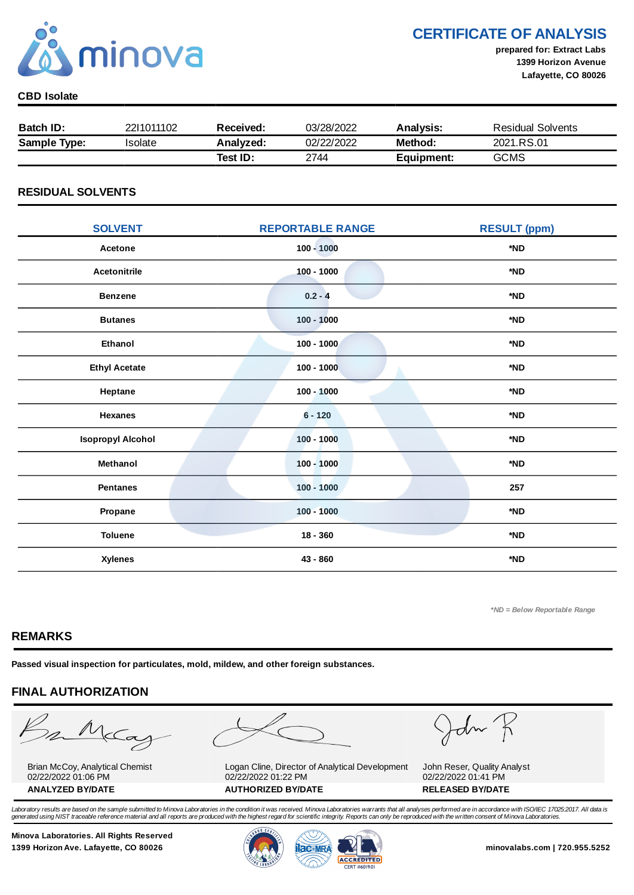

### CERTIFICATE OF ANALYSIS

prepared for: Extract Labs 1399 Horizon Avenue Lafayette, CO 80026

#### CBD Isolate

| <b>Batch ID:</b>    | 2211011102 | Received: | 03/28/2022 | <b>Analysis:</b> | Residual Solvents |
|---------------------|------------|-----------|------------|------------------|-------------------|
| <b>Sample Type:</b> | Isolate    | Analyzed: | 02/22/2022 | Method:          | 2021.RS.01        |
|                     |            | Test ID:  | 2744       | Equipment:       | <b>GCMS</b>       |

#### RESIDUAL SOLVENTS

| <b>SOLVENT</b>           | <b>REPORTABLE RANGE</b> | <b>RESULT (ppm)</b> |
|--------------------------|-------------------------|---------------------|
| Acetone                  | $100 - 1000$            | *ND                 |
| <b>Acetonitrile</b>      | $100 - 1000$            | *ND                 |
| <b>Benzene</b>           | $0.2 - 4$               | *ND                 |
| <b>Butanes</b>           | $100 - 1000$            | *ND                 |
| <b>Ethanol</b>           | $100 - 1000$            | *ND                 |
| <b>Ethyl Acetate</b>     | $100 - 1000$            | *ND                 |
| Heptane                  | $100 - 1000$            | *ND                 |
| <b>Hexanes</b>           | $6 - 120$               | *ND                 |
| <b>Isopropyl Alcohol</b> | $100 - 1000$            | *ND                 |
| Methanol                 | $100 - 1000$            | *ND                 |
| <b>Pentanes</b>          | $100 - 1000$            | 257                 |
| Propane                  | $100 - 1000$            | *ND                 |
| <b>Toluene</b>           | $18 - 360$              | *ND                 |
| <b>Xylenes</b>           | 43 - 860                | *ND                 |

\*ND = Below Reportable Range

#### REMARKS

Passed visual inspection for particulates, mold, mildew, and other foreign substances.

#### FINAL AUTHORIZATION

mMcCa

Brian McCoy, Analytical Chemist 02/22/2022 01:06 PM

Logan Cline, Director of Analytical Development 02/22/2022 01:22 PM ANALYZED BY/DATE AUTHORIZED BY/DATE AUTHORIZED BY/DATE

John

John Reser, Quality Analyst 02/22/2022 01:41 PM

Laboratory results are based on the sample submitted to Minova Laboratories in the condition it was received. Minova Laboratories warrants that all analyses performed are in accordance with ISO/IEC 17025:2017. All data is generated using NIST traceable reference material and all reports are produced with the highest regard for scientific integrity. Reports can only be reproduced with the written consent of Minova Laboratories.

Minova Laboratories. All Rights Reserved 1399 Horizon Ave. Lafayette, CO 80026 **1300 Minovalabs.com | 720.955.5252** minovalabs.com | 720.955.5252